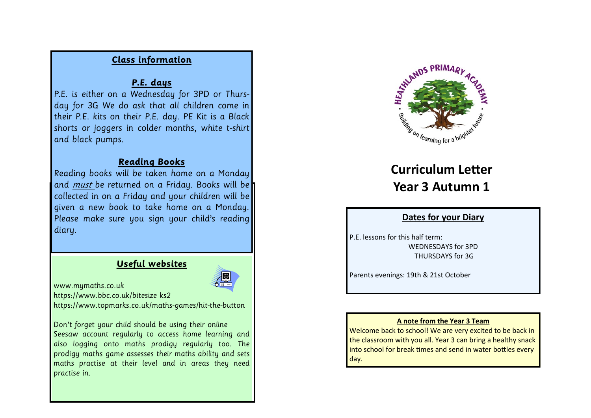# **Class information**

## **P.E. days**

P.E. is either on a Wednesday for 3PD or Thursday for 3G We do ask that all children come in their P.E. kits on their P.E. day. PE Kit is a Black shorts or joggers in colder months, white t-shirt and black pumps.

## **Reading Books**

Reading books will be taken home on a Monday and *must* be returned on a Friday. Books will be collected in on a Friday and your children will be given a new book to take home on a Monday. Please make sure you sign your child's reading diary.

# **Useful websites**

www.mymaths.co.uk

https://www.bbc.co.uk/bitesize ks2

https://www.topmarks.co.uk/maths-games/hit-the-button

Don't forget your child should be using their online Seesaw account regularly to access home learning and also logging onto maths prodigy regularly too. The prodigy maths game assesses their maths ability and sets maths practise at their level and in areas they need practise in.



# **Curriculum Letter Year 3 Autumn 1**

## **Dates for your Diary**

P.F. lessons for this half term: WEDNESDAYS for 3PD THURSDAYS for 3G

Parents evenings: 19th & 21st October

### **A note from the Year 3 Team**

Welcome back to school! We are very excited to be back in the classroom with you all. Year 3 can bring a healthy snack into school for break times and send in water bottles every day.